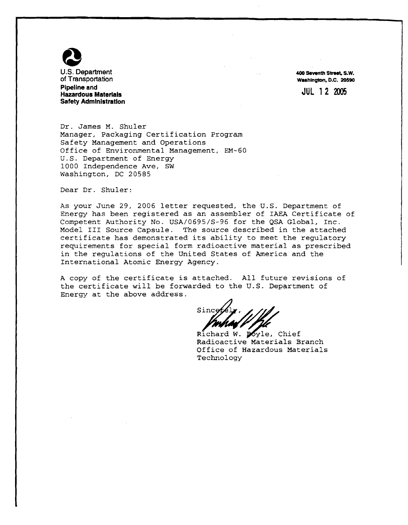

**400 seventh Stmot, S.W. Wuhlngton. D.C. 20590** 

JUL **12 M05** 

Dr. James M. Shuler Manager, Packaging Certification Program Safety Management and Operations Office of Environmental Management, EM-60 U.S. Department of Energy 1000 Independence Ave, SW Washington, DC 20585

Dear Dr. Shuler:

As your June 29, 2006 letter requested, the U.S. Department of Energy has been registered as an assembler of IAEA Certificate of Competent Authority No. USA/0695/S-96 for the QSA Global, Inc. Model I11 Source Capsule. The source described in the attached certificate has demonstrated its ability to meet the regulatory requirements for special form radioactive material as prescribed in the regulations of the United States of America and the International Atomic Energy Agency.

A copy of the certificate is attached. All future revisions of the certificate will be forwarded to the U.S. Department of Energy at the above address.

Since

Richard W. poyle, Chief Radioactive Materials Branch Office of Hazardous Materials Technology